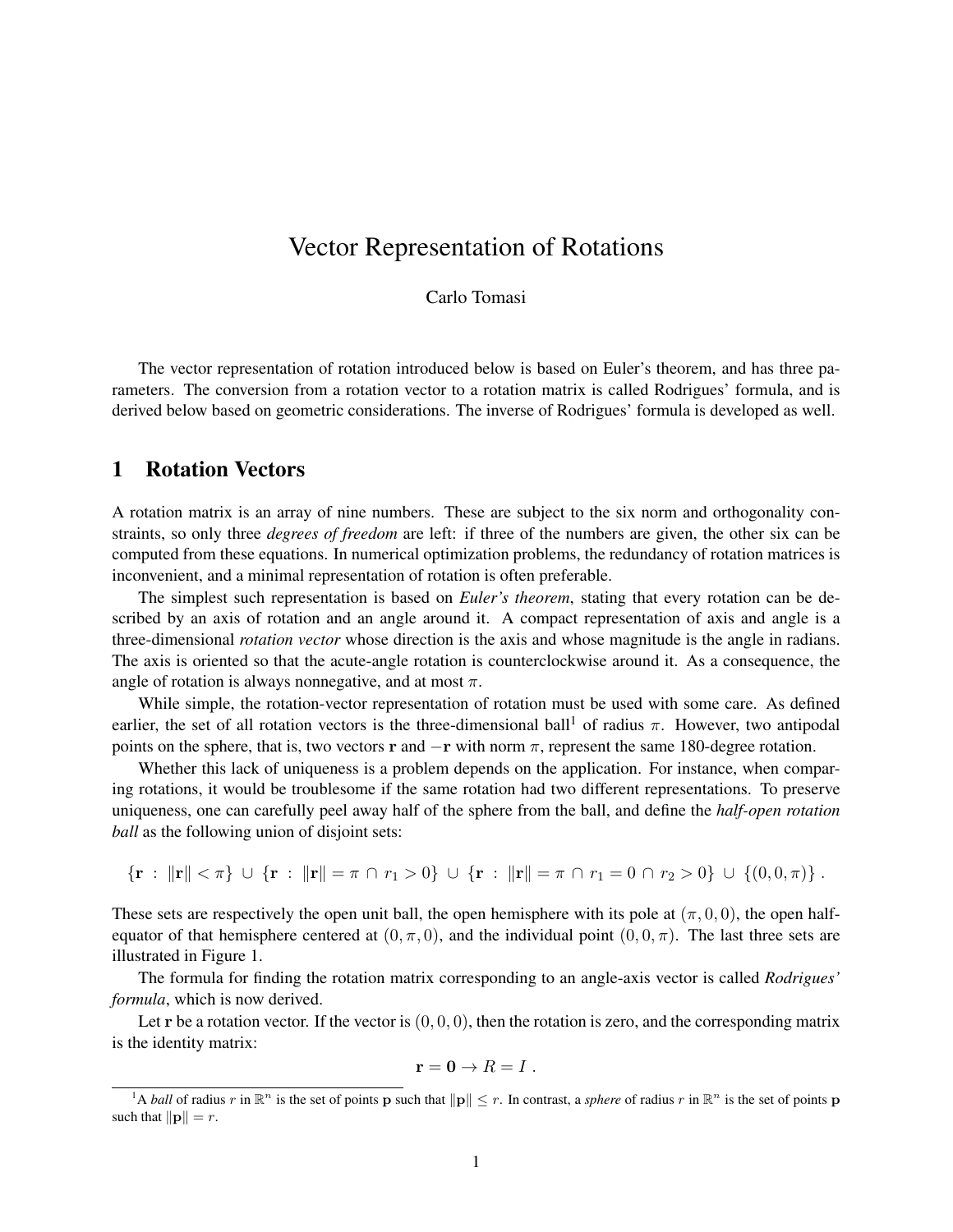## Vector Representation of Rotations

Carlo Tomasi

The vector representation of rotation introduced below is based on Euler's theorem, and has three parameters. The conversion from a rotation vector to a rotation matrix is called Rodrigues' formula, and is derived below based on geometric considerations. The inverse of Rodrigues' formula is developed as well.

## 1 Rotation Vectors

A rotation matrix is an array of nine numbers. These are subject to the six norm and orthogonality constraints, so only three *degrees of freedom* are left: if three of the numbers are given, the other six can be computed from these equations. In numerical optimization problems, the redundancy of rotation matrices is inconvenient, and a minimal representation of rotation is often preferable.

The simplest such representation is based on *Euler's theorem*, stating that every rotation can be described by an axis of rotation and an angle around it. A compact representation of axis and angle is a three-dimensional *rotation vector* whose direction is the axis and whose magnitude is the angle in radians. The axis is oriented so that the acute-angle rotation is counterclockwise around it. As a consequence, the angle of rotation is always nonnegative, and at most  $\pi$ .

While simple, the rotation-vector representation of rotation must be used with some care. As defined earlier, the set of all rotation vectors is the three-dimensional ball<sup>1</sup> of radius  $\pi$ . However, two antipodal points on the sphere, that is, two vectors r and  $-\mathbf{r}$  with norm  $\pi$ , represent the same 180-degree rotation.

Whether this lack of uniqueness is a problem depends on the application. For instance, when comparing rotations, it would be troublesome if the same rotation had two different representations. To preserve uniqueness, one can carefully peel away half of the sphere from the ball, and define the *half-open rotation ball* as the following union of disjoint sets:

 ${\bf r} : \|{\bf r}\| < \pi$   $\} \cup {\bf r} : \|{\bf r}\| = \pi \cap r_1 > 0$   $\} \cup {\bf r} : \|{\bf r}\| = \pi \cap r_1 = 0 \cap r_2 > 0$   $\} \cup \{(0,0,\pi)\}.$ 

These sets are respectively the open unit ball, the open hemisphere with its pole at  $(\pi, 0, 0)$ , the open halfequator of that hemisphere centered at  $(0, \pi, 0)$ , and the individual point  $(0, 0, \pi)$ . The last three sets are illustrated in Figure 1.

The formula for finding the rotation matrix corresponding to an angle-axis vector is called *Rodrigues' formula*, which is now derived.

Let r be a rotation vector. If the vector is  $(0, 0, 0)$ , then the rotation is zero, and the corresponding matrix is the identity matrix:

$$
\mathbf{r}=\mathbf{0}\rightarrow R=I\ .
$$

<sup>&</sup>lt;sup>1</sup>A *ball* of radius r in  $\mathbb{R}^n$  is the set of points p such that  $||p|| \leq r$ . In contrast, a *sphere* of radius r in  $\mathbb{R}^n$  is the set of points p such that  $\|\mathbf{p}\| = r$ .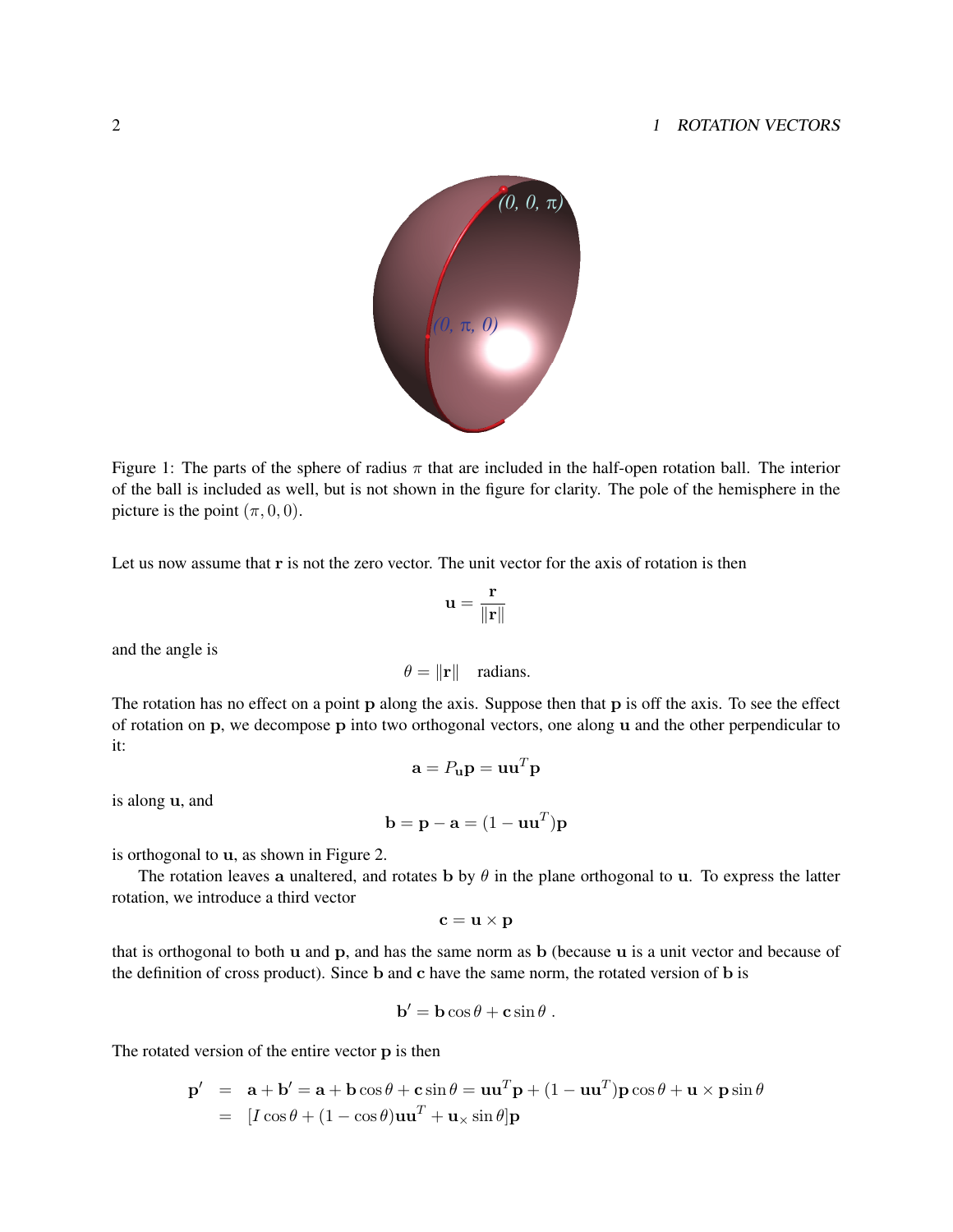## 2 1 ROTATION VECTORS



Figure 1: The parts of the sphere of radius  $\pi$  that are included in the half-open rotation ball. The interior of the ball is included as well, but is not shown in the figure for clarity. The pole of the hemisphere in the picture is the point  $(\pi, 0, 0)$ .

Let us now assume that r is not the zero vector. The unit vector for the axis of rotation is then

$$
\mathbf{u} = \frac{\mathbf{r}}{\|\mathbf{r}\|}
$$

and the angle is

$$
\theta = \|\mathbf{r}\| \quad \text{radians.}
$$

The rotation has no effect on a point p along the axis. Suppose then that p is off the axis. To see the effect of rotation on p, we decompose p into two orthogonal vectors, one along u and the other perpendicular to it:

$$
\mathbf{a} = P_{\mathbf{u}} \mathbf{p} = \mathbf{u} \mathbf{u}^T \mathbf{p}
$$

is along u, and

$$
\mathbf{b} = \mathbf{p} - \mathbf{a} = (1 - \mathbf{u}\mathbf{u}^T)\mathbf{p}
$$

is orthogonal to u, as shown in Figure 2.

The rotation leaves a unaltered, and rotates b by  $\theta$  in the plane orthogonal to u. To express the latter rotation, we introduce a third vector

$$
\mathbf{c} = \mathbf{u} \times \mathbf{p}
$$

that is orthogonal to both  $\bf{u}$  and  $\bf{p}$ , and has the same norm as  $\bf{b}$  (because  $\bf{u}$  is a unit vector and because of the definition of cross product). Since b and c have the same norm, the rotated version of b is

$$
\mathbf{b}' = \mathbf{b}\cos\theta + \mathbf{c}\sin\theta.
$$

The rotated version of the entire vector p is then

$$
\mathbf{p}' = \mathbf{a} + \mathbf{b}' = \mathbf{a} + \mathbf{b}\cos\theta + \mathbf{c}\sin\theta = \mathbf{u}\mathbf{u}^T\mathbf{p} + (1 - \mathbf{u}\mathbf{u}^T)\mathbf{p}\cos\theta + \mathbf{u} \times \mathbf{p}\sin\theta
$$
  
= 
$$
[I\cos\theta + (1 - \cos\theta)\mathbf{u}\mathbf{u}^T + \mathbf{u}\times\sin\theta]\mathbf{p}
$$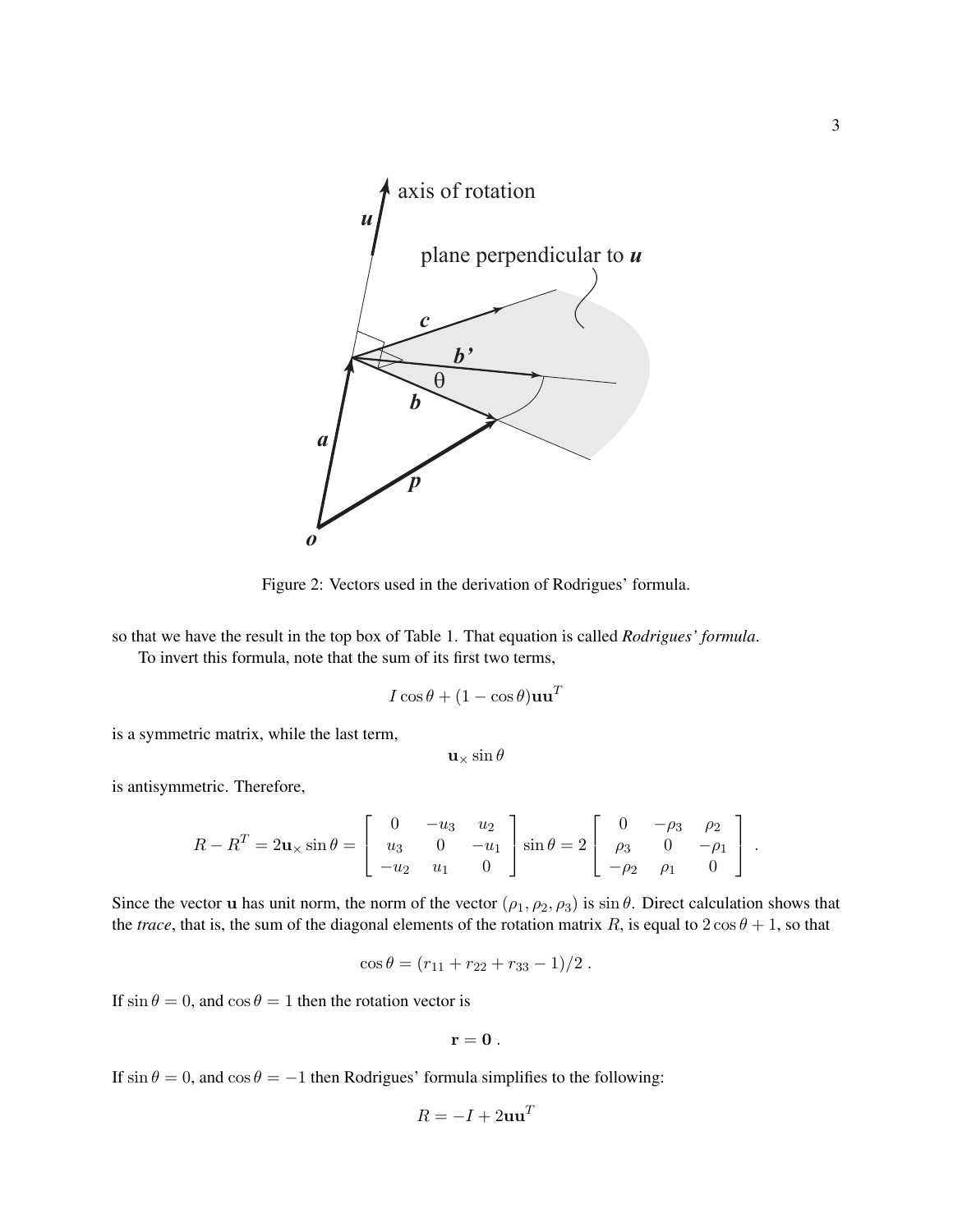

Figure 2: Vectors used in the derivation of Rodrigues' formula.

so that we have the result in the top box of Table 1. That equation is called *Rodrigues' formula*.

To invert this formula, note that the sum of its first two terms,

$$
I\cos\theta + (1-\cos\theta)\mathbf{u}\mathbf{u}^T
$$

is a symmetric matrix, while the last term,

 $\mathbf{u}\times\sin\theta$ 

is antisymmetric. Therefore,

$$
R - R^{T} = 2\mathbf{u}_{\times} \sin \theta = \begin{bmatrix} 0 & -u_{3} & u_{2} \\ u_{3} & 0 & -u_{1} \\ -u_{2} & u_{1} & 0 \end{bmatrix} \sin \theta = 2 \begin{bmatrix} 0 & -\rho_{3} & \rho_{2} \\ \rho_{3} & 0 & -\rho_{1} \\ -\rho_{2} & \rho_{1} & 0 \end{bmatrix}.
$$

Since the vector **u** has unit norm, the norm of the vector  $(\rho_1, \rho_2, \rho_3)$  is sin  $\theta$ . Direct calculation shows that the *trace*, that is, the sum of the diagonal elements of the rotation matrix R, is equal to  $2\cos\theta + 1$ , so that

$$
\cos \theta = (r_{11} + r_{22} + r_{33} - 1)/2.
$$

If  $\sin \theta = 0$ , and  $\cos \theta = 1$  then the rotation vector is

$$
\mathbf{r}=\mathbf{0} \ .
$$

If  $\sin \theta = 0$ , and  $\cos \theta = -1$  then Rodrigues' formula simplifies to the following:

$$
R = -I + 2\mathbf{u}\mathbf{u}^T
$$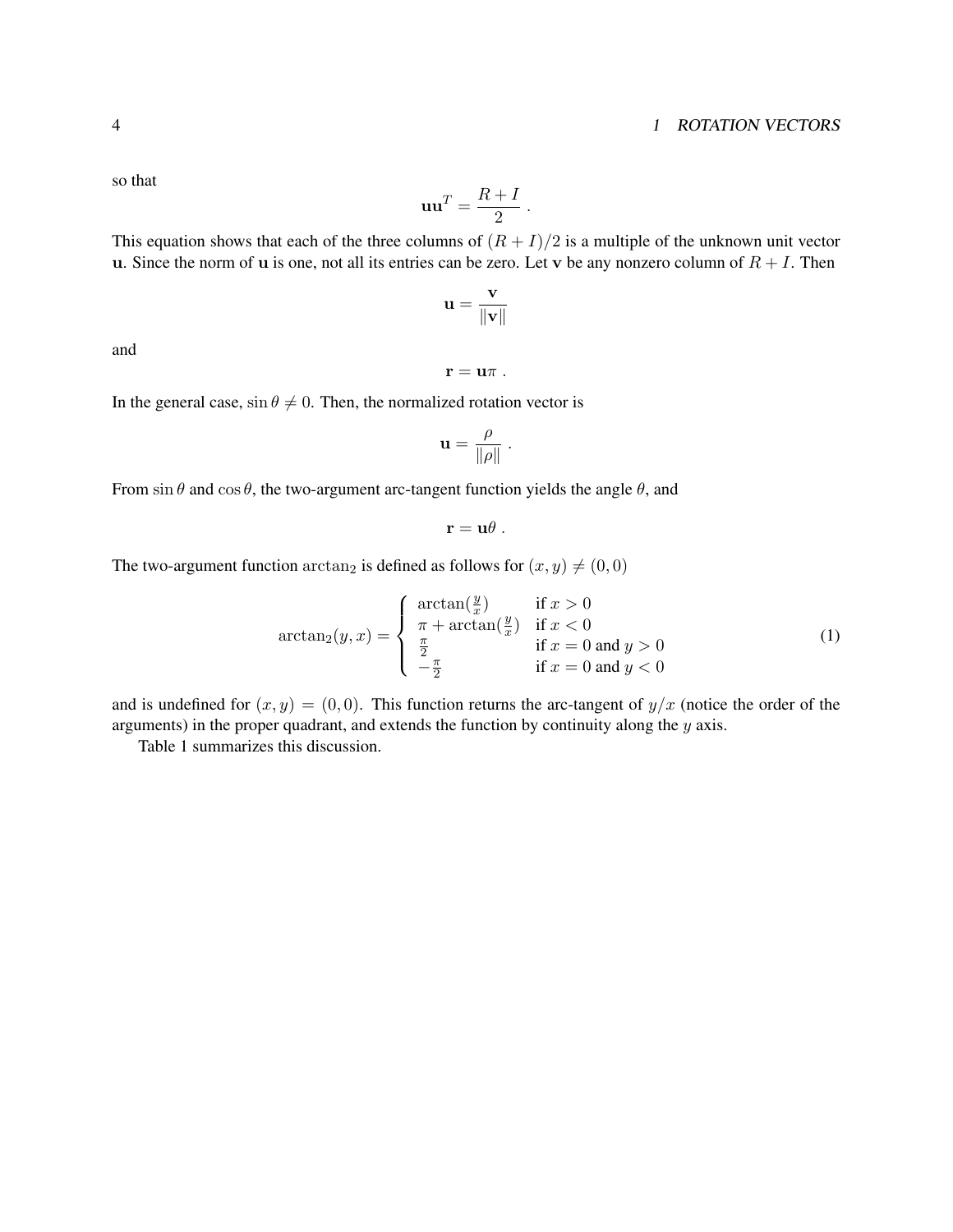so that

$$
\mathbf{u}\mathbf{u}^T = \frac{R+I}{2} \ .
$$

This equation shows that each of the three columns of 
$$
(R + I)/2
$$
 is a multiple of the unknown unit vector  
u. Since the norm of u is one, not all its entries can be zero. Let v be any nonzero column of  $R + I$ . Then

$$
\mathbf{u} = \frac{\mathbf{v}}{\|\mathbf{v}\|}
$$

and

$$
\mathbf{r}=\mathbf{u}\pi .
$$

In the general case,  $\sin \theta \neq 0$ . Then, the normalized rotation vector is

$$
\mathbf{u} = \frac{\rho}{\|\rho\|} \ .
$$

From sin  $\theta$  and cos  $\theta$ , the two-argument arc-tangent function yields the angle  $\theta$ , and

$$
\mathbf{r}=\mathbf{u}\theta.
$$

The two-argument function  $arctan_2$  is defined as follows for  $(x, y) \neq (0, 0)$ 

$$
\arctan_2(y,x) = \begin{cases} \arctan(\frac{y}{x}) & \text{if } x > 0\\ \pi + \arctan(\frac{y}{x}) & \text{if } x < 0\\ \frac{\pi}{2} & \text{if } x = 0 \text{ and } y > 0\\ -\frac{\pi}{2} & \text{if } x = 0 \text{ and } y < 0 \end{cases}
$$
(1)

and is undefined for  $(x, y) = (0, 0)$ . This function returns the arc-tangent of  $y/x$  (notice the order of the arguments) in the proper quadrant, and extends the function by continuity along the y axis.

Table 1 summarizes this discussion.